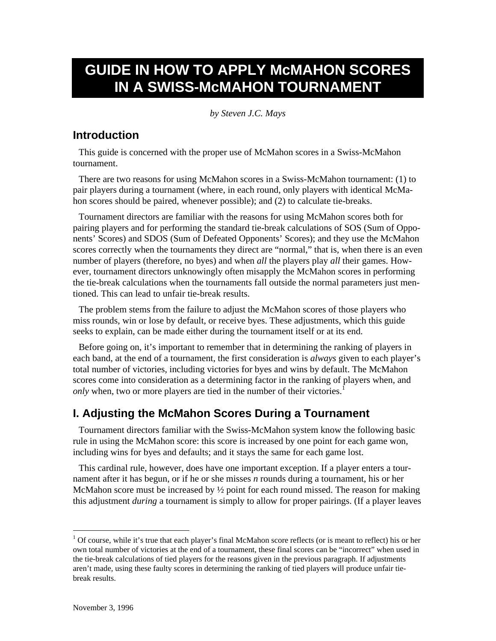# **GUIDE IN HOW TO APPLY McMAHON SCORES IN A SWISS-McMAHON TOURNAMENT**

*by Steven J.C. Mays*

### **Introduction**

This guide is concerned with the proper use of McMahon scores in a Swiss-McMahon tournament.

There are two reasons for using McMahon scores in a Swiss-McMahon tournament: (1) to pair players during a tournament (where, in each round, only players with identical McMahon scores should be paired, whenever possible); and (2) to calculate tie-breaks.

Tournament directors are familiar with the reasons for using McMahon scores both for pairing players and for performing the standard tie-break calculations of SOS (Sum of Opponents' Scores) and SDOS (Sum of Defeated Opponents' Scores); and they use the McMahon scores correctly when the tournaments they direct are "normal," that is, when there is an even number of players (therefore, no byes) and when *all* the players play *all* their games. However, tournament directors unknowingly often misapply the McMahon scores in performing the tie-break calculations when the tournaments fall outside the normal parameters just mentioned. This can lead to unfair tie-break results.

The problem stems from the failure to adjust the McMahon scores of those players who miss rounds, win or lose by default, or receive byes. These adjustments, which this guide seeks to explain, can be made either during the tournament itself or at its end.

Before going on, it's important to remember that in determining the ranking of players in each band, at the end of a tournament, the first consideration is *always* given to each player's total number of victories, including victories for byes and wins by default. The McMahon scores come into consideration as a determining factor in the ranking of players when, and *only* when, two or more players are tied in the number of their victories.<sup>1</sup>

## **I. Adjusting the McMahon Scores During a Tournament**

Tournament directors familiar with the Swiss-McMahon system know the following basic rule in using the McMahon score: this score is increased by one point for each game won, including wins for byes and defaults; and it stays the same for each game lost.

This cardinal rule, however, does have one important exception. If a player enters a tournament after it has begun, or if he or she misses *n* rounds during a tournament, his or her McMahon score must be increased by  $\frac{1}{2}$  point for each round missed. The reason for making this adjustment *during* a tournament is simply to allow for proper pairings. (If a player leaves

 $1$  Of course, while it's true that each player's final McMahon score reflects (or is meant to reflect) his or her own total number of victories at the end of a tournament, these final scores can be "incorrect" when used in the tie-break calculations of tied players for the reasons given in the previous paragraph. If adjustments aren't made, using these faulty scores in determining the ranking of tied players will produce unfair tiebreak results.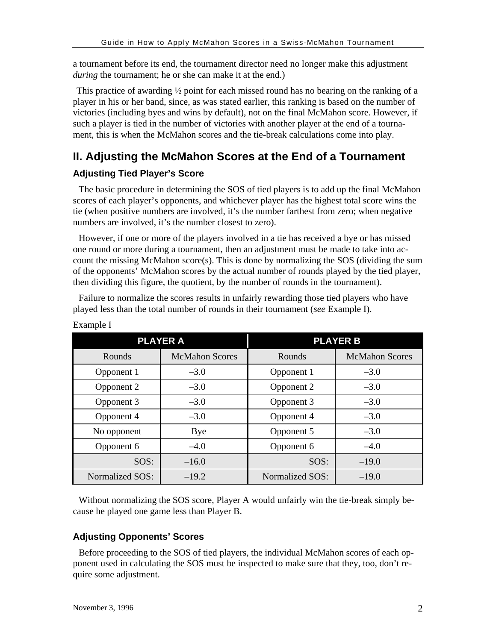a tournament before its end, the tournament director need no longer make this adjustment *during* the tournament; he or she can make it at the end.)

This practice of awarding ½ point for each missed round has no bearing on the ranking of a player in his or her band, since, as was stated earlier, this ranking is based on the number of victories (including byes and wins by default), not on the final McMahon score. However, if such a player is tied in the number of victories with another player at the end of a tournament, this is when the McMahon scores and the tie-break calculations come into play.

## **II. Adjusting the McMahon Scores at the End of a Tournament**

#### **Adjusting Tied Player's Score**

The basic procedure in determining the SOS of tied players is to add up the final McMahon scores of each player's opponents, and whichever player has the highest total score wins the tie (when positive numbers are involved, it's the number farthest from zero; when negative numbers are involved, it's the number closest to zero).

However, if one or more of the players involved in a tie has received a bye or has missed one round or more during a tournament, then an adjustment must be made to take into account the missing McMahon score(s). This is done by normalizing the SOS (dividing the sum of the opponents' McMahon scores by the actual number of rounds played by the tied player, then dividing this figure, the quotient, by the number of rounds in the tournament).

Failure to normalize the scores results in unfairly rewarding those tied players who have played less than the total number of rounds in their tournament (*see* Example I).

|                 | <b>PLAYER A</b>       | <b>PLAYER B</b> |                       |  |  |
|-----------------|-----------------------|-----------------|-----------------------|--|--|
| Rounds          | <b>McMahon Scores</b> | Rounds          | <b>McMahon Scores</b> |  |  |
| Opponent 1      | $-3.0$                | Opponent 1      | $-3.0$                |  |  |
| Opponent 2      | $-3.0$                | Opponent 2      | $-3.0$                |  |  |
| Opponent 3      | $-3.0$                | Opponent 3      | $-3.0$                |  |  |
| Opponent 4      | $-3.0$                | Opponent 4      | $-3.0$                |  |  |
| No opponent     | Bye                   | Opponent 5      | $-3.0$                |  |  |
| Opponent 6      | $-4.0$                | Opponent 6      | $-4.0$                |  |  |
| SOS:            | $-16.0$               | SOS:            | $-19.0$               |  |  |
| Normalized SOS: | $-19.2$               | Normalized SOS: | $-19.0$               |  |  |

Example I

Without normalizing the SOS score, Player A would unfairly win the tie-break simply because he played one game less than Player B.

#### **Adjusting Opponents' Scores**

Before proceeding to the SOS of tied players, the individual McMahon scores of each opponent used in calculating the SOS must be inspected to make sure that they, too, don't require some adjustment.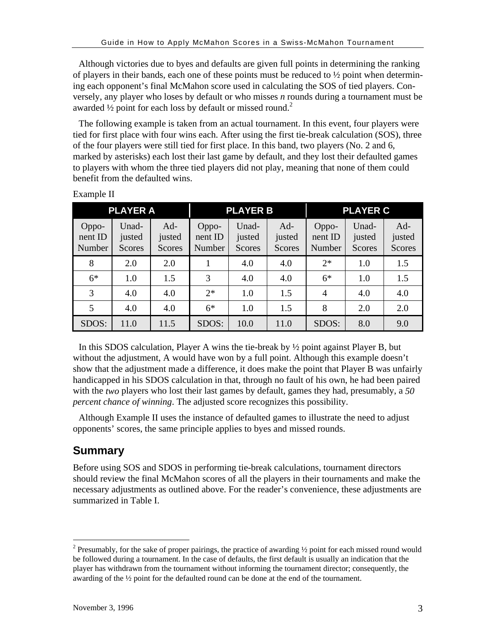Although victories due to byes and defaults are given full points in determining the ranking of players in their bands, each one of these points must be reduced to  $\frac{1}{2}$  point when determining each opponent's final McMahon score used in calculating the SOS of tied players. Conversely, any player who loses by default or who misses *n* rounds during a tournament must be awarded 1/2 point for each loss by default or missed round.<sup>2</sup>

The following example is taken from an actual tournament. In this event, four players were tied for first place with four wins each. After using the first tie-break calculation (SOS), three of the four players were still tied for first place. In this band, two players (No. 2 and 6, marked by asterisks) each lost their last game by default, and they lost their defaulted games to players with whom the three tied players did not play, meaning that none of them could benefit from the defaulted wins.

| <b>PLAYER A</b>            |                           |                           |                            | <b>PLAYER B</b>           |                         | <b>PLAYER C</b>            |                                  |                                  |  |
|----------------------------|---------------------------|---------------------------|----------------------------|---------------------------|-------------------------|----------------------------|----------------------------------|----------------------------------|--|
| Oppo-<br>nent ID<br>Number | Unad-<br>justed<br>Scores | $Ad-$<br>justed<br>Scores | Oppo-<br>nent ID<br>Number | Unad-<br>justed<br>Scores | Ad-<br>justed<br>Scores | Oppo-<br>nent ID<br>Number | Unad-<br>justed<br><b>Scores</b> | $Ad-$<br>justed<br><b>Scores</b> |  |
| 8                          | 2.0                       | 2.0                       |                            | 4.0                       | 4.0                     | $2*$                       | 1.0                              | 1.5                              |  |
| $6*$                       | 1.0                       | 1.5                       | 3                          | 4.0                       | 4.0                     | $6*$                       | 1.0                              | 1.5                              |  |
| 3                          | 4.0                       | 4.0                       | $2*$                       | 1.0                       | 1.5                     | $\overline{4}$             | 4.0                              | 4.0                              |  |
| 5                          | 4.0                       | 4.0                       | $6*$                       | 1.0                       | 1.5                     | 8                          | 2.0                              | 2.0                              |  |
| SDOS:                      | 11.0                      | 11.5                      | SDOS:                      | 10.0                      | 11.0                    | SDOS:                      | 8.0                              | 9.0                              |  |

Example II

In this SDOS calculation, Player A wins the tie-break by  $\frac{1}{2}$  point against Player B, but without the adjustment, A would have won by a full point. Although this example doesn't show that the adjustment made a difference, it does make the point that Player B was unfairly handicapped in his SDOS calculation in that, through no fault of his own, he had been paired with the *two* players who lost their last games by default, games they had, presumably, a *50 percent chance of winning*. The adjusted score recognizes this possibility.

Although Example II uses the instance of defaulted games to illustrate the need to adjust opponents' scores, the same principle applies to byes and missed rounds.

## **Summary**

 $\overline{a}$ 

Before using SOS and SDOS in performing tie-break calculations, tournament directors should review the final McMahon scores of all the players in their tournaments and make the necessary adjustments as outlined above. For the reader's convenience, these adjustments are summarized in Table I.

<sup>&</sup>lt;sup>2</sup> Presumably, for the sake of proper pairings, the practice of awarding  $\frac{1}{2}$  point for each missed round would be followed during a tournament. In the case of defaults, the first default is usually an indication that the player has withdrawn from the tournament without informing the tournament director; consequently, the awarding of the ½ point for the defaulted round can be done at the end of the tournament.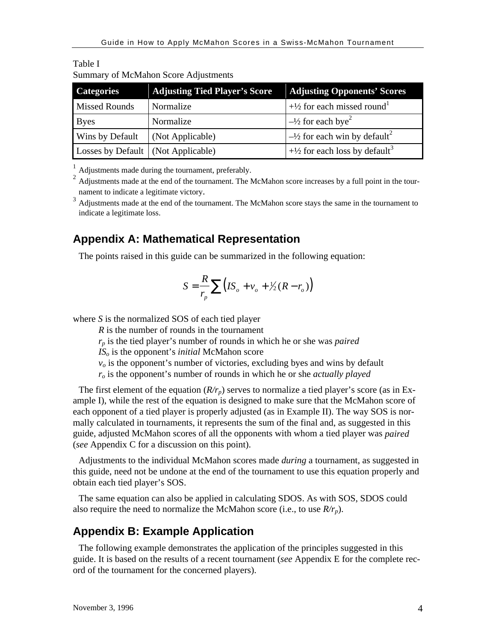| <b>Categories</b>                    | <b>Adjusting Tied Player's Score</b> | <b>Adjusting Opponents' Scores</b>                   |
|--------------------------------------|--------------------------------------|------------------------------------------------------|
| <b>Missed Rounds</b>                 | Normalize                            | $+\frac{1}{2}$ for each missed round <sup>1</sup>    |
| <b>Byes</b>                          | Normalize                            | $\frac{1}{2}$ for each bye <sup>2</sup>              |
| Wins by Default                      | (Not Applicable)                     | $-\frac{1}{2}$ for each win by default <sup>2</sup>  |
| Losses by Default   (Not Applicable) |                                      | $+\frac{1}{2}$ for each loss by default <sup>3</sup> |

Table I Summary of McMahon Score Adjustments

<sup>1</sup> Adjustments made during the tournament, preferably.

<sup>2</sup> Adjustments made at the end of the tournament. The McMahon score increases by a full point in the tournament to indicate a legitimate victory. <sup>3</sup> Adjustments made at the end of the tournament. The McMahon score stays the same in the tournament to

indicate a legitimate loss.

#### **Appendix A: Mathematical Representation**

The points raised in this guide can be summarized in the following equation:

$$
S = \frac{R}{r_p} \sum \left( I S_o + v_o + \frac{1}{2} (R - r_o) \right)
$$

where *S* is the normalized SOS of each tied player

*R* is the number of rounds in the tournament

*rp* is the tied player's number of rounds in which he or she was *paired*

*ISo* is the opponent's *initial* McMahon score

 $v<sub>o</sub>$  is the opponent's number of victories, excluding byes and wins by default

*ro* is the opponent's number of rounds in which he or she *actually played*

The first element of the equation  $(R/r_p)$  serves to normalize a tied player's score (as in Example I), while the rest of the equation is designed to make sure that the McMahon score of each opponent of a tied player is properly adjusted (as in Example II). The way SOS is normally calculated in tournaments, it represents the sum of the final and, as suggested in this guide, adjusted McMahon scores of all the opponents with whom a tied player was *paired* (*see* Appendix C for a discussion on this point).

Adjustments to the individual McMahon scores made *during* a tournament, as suggested in this guide, need not be undone at the end of the tournament to use this equation properly and obtain each tied player's SOS.

The same equation can also be applied in calculating SDOS. As with SOS, SDOS could also require the need to normalize the McMahon score (i.e., to use  $R/r_p$ ).

#### **Appendix B: Example Application**

The following example demonstrates the application of the principles suggested in this guide. It is based on the results of a recent tournament (*see* Appendix E for the complete record of the tournament for the concerned players).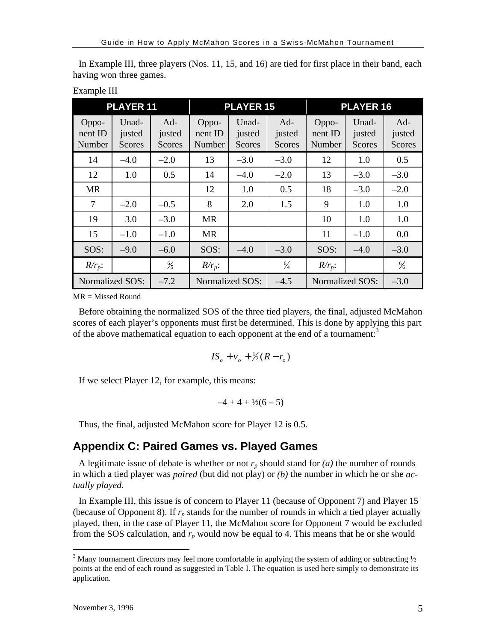| <b>PLAYER 11</b>           |                                  |                           |                            | <b>PLAYER 15</b>                 |                                  | <b>PLAYER 16</b>           |                                  |                                  |  |
|----------------------------|----------------------------------|---------------------------|----------------------------|----------------------------------|----------------------------------|----------------------------|----------------------------------|----------------------------------|--|
| Oppo-<br>nent ID<br>Number | Unad-<br>justed<br><b>Scores</b> | $Ad-$<br>justed<br>Scores | Oppo-<br>nent ID<br>Number | Unad-<br>justed<br><b>Scores</b> | $Ad-$<br>justed<br><b>Scores</b> | Oppo-<br>nent ID<br>Number | Unad-<br>justed<br><b>Scores</b> | $Ad-$<br>justed<br><b>Scores</b> |  |
| 14                         | $-4.0$                           | $-2.0$                    | 13                         | $-3.0$                           | $-3.0$                           | 12                         | 1.0                              | 0.5                              |  |
| 12                         | 1.0                              | 0.5                       | 14                         | $-4.0$                           | $-2.0$                           | 13                         | $-3.0$                           | $-3.0$                           |  |
| <b>MR</b>                  |                                  |                           | 12                         | 1.0                              | 0.5                              | 18                         | $-3.0$                           | $-2.0$                           |  |
| $\overline{7}$             | $-2.0$                           | $-0.5$                    | 8                          | 2.0                              | 1.5                              | 9                          | 1.0                              | 1.0                              |  |
| 19                         | 3.0                              | $-3.0$                    | <b>MR</b>                  |                                  |                                  | 10                         | 1.0                              | 1.0                              |  |
| 15                         | $-1.0$                           | $-1.0$                    | <b>MR</b>                  |                                  |                                  | 11                         | $-1.0$                           | 0.0                              |  |
| SOS:                       | $-9.0$                           | $-6.0$                    | SOS:                       | $-4.0$                           | $-3.0$                           | SOS:                       | $-4.0$                           | $-3.0$                           |  |
| $R/r_p$ :                  |                                  | $\frac{6}{5}$             | $R/r_p$ :                  |                                  | $\frac{6}{4}$                    | $R/r_p$ :                  |                                  | $\frac{6}{6}$                    |  |
|                            | Normalized SOS:<br>$-7.2$        |                           |                            | Normalized SOS:                  | $-4.5$                           | Normalized SOS:            |                                  | $-3.0$                           |  |

In Example III, three players (Nos. 11, 15, and 16) are tied for first place in their band, each having won three games.

 $MR = Missed Round$ 

Example III

Before obtaining the normalized SOS of the three tied players, the final, adjusted McMahon scores of each player's opponents must first be determined. This is done by applying this part of the above mathematical equation to each opponent at the end of a tournament:<sup>3</sup>

$$
I S_o + v_o + \frac{1}{2}(R - r_o)
$$

If we select Player 12, for example, this means:

$$
-4 + 4 + \frac{1}{2}(6 - 5)
$$

Thus, the final, adjusted McMahon score for Player 12 is 0.5.

## **Appendix C: Paired Games vs. Played Games**

A legitimate issue of debate is whether or not  $r_p$  should stand for  $(a)$  the number of rounds in which a tied player was *paired* (but did not play) or *(b)* the number in which he or she *actually played*.

In Example III, this issue is of concern to Player 11 (because of Opponent 7) and Player 15 (because of Opponent 8). If  $r_p$  stands for the number of rounds in which a tied player actually played, then, in the case of Player 11, the McMahon score for Opponent 7 would be excluded from the SOS calculation, and  $r_p$  would now be equal to 4. This means that he or she would

<sup>&</sup>lt;sup>3</sup> Many tournament directors may feel more comfortable in applying the system of adding or subtracting  $\frac{1}{2}$ points at the end of each round as suggested in Table I. The equation is used here simply to demonstrate its application.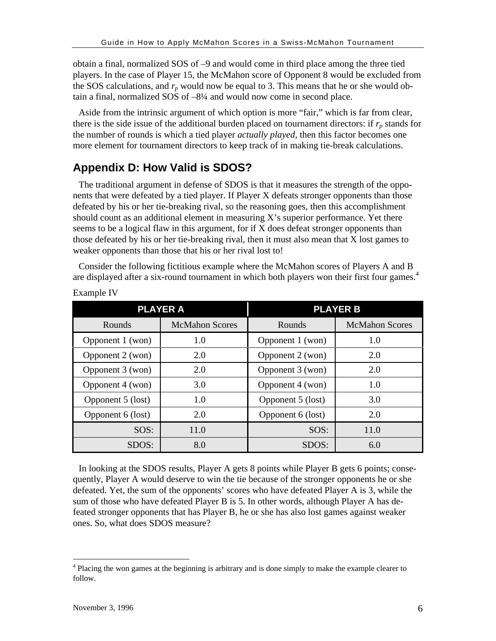obtain a final, normalized SOS of –9 and would come in third place among the three tied players. In the case of Player 15, the McMahon score of Opponent 8 would be excluded from the SOS calculations, and  $r_p$  would now be equal to 3. This means that he or she would obtain a final, normalized SOS of –8¼ and would now come in second place.

Aside from the intrinsic argument of which option is more "fair," which is far from clear, there is the side issue of the additional burden placed on tournament directors: if  $r_p$  stands for the number of rounds is which a tied player *actually played*, then this factor becomes one more element for tournament directors to keep track of in making tie-break calculations.

# **Appendix D: How Valid is SDOS?**

The traditional argument in defense of SDOS is that it measures the strength of the opponents that were defeated by a tied player. If Player X defeats stronger opponents than those defeated by his or her tie-breaking rival, so the reasoning goes, then this accomplishment should count as an additional element in measuring X's superior performance. Yet there seems to be a logical flaw in this argument, for if X does defeat stronger opponents than those defeated by his or her tie-breaking rival, then it must also mean that X lost games to weaker opponents than those that his or her rival lost to!

Consider the following fictitious example where the McMahon scores of Players A and B are displayed after a six-round tournament in which both players won their first four games.<sup>4</sup>

|                   | <b>PLAYER A</b>       | <b>PLAYER B</b>   |                       |  |  |
|-------------------|-----------------------|-------------------|-----------------------|--|--|
| Rounds            | <b>McMahon Scores</b> | Rounds            | <b>McMahon Scores</b> |  |  |
| Opponent 1 (won)  | 1.0                   | Opponent 1 (won)  | 1.0                   |  |  |
| Opponent 2 (won)  | 2.0                   | Opponent 2 (won)  | 2.0                   |  |  |
| Opponent 3 (won)  | 2.0                   | Opponent 3 (won)  | 2.0                   |  |  |
| Opponent 4 (won)  | 3.0                   | Opponent 4 (won)  | 1.0                   |  |  |
| Opponent 5 (lost) | 1.0                   | Opponent 5 (lost) | 3.0                   |  |  |
| Opponent 6 (lost) | 2.0                   | Opponent 6 (lost) | 2.0                   |  |  |
| SOS:              | 11.0                  | SOS:              | 11.0                  |  |  |
| SDOS:             | 8.0                   | SDOS:             | 6.0                   |  |  |

Example IV

In looking at the SDOS results, Player A gets 8 points while Player B gets 6 points; consequently, Player A would deserve to win the tie because of the stronger opponents he or she defeated. Yet, the sum of the opponents' scores who have defeated Player A is 3, while the sum of those who have defeated Player B is 5. In other words, although Player A has defeated stronger opponents that has Player B, he or she has also lost games against weaker ones. So, what does SDOS measure?

<sup>&</sup>lt;sup>4</sup> Placing the won games at the beginning is arbitrary and is done simply to make the example clearer to follow.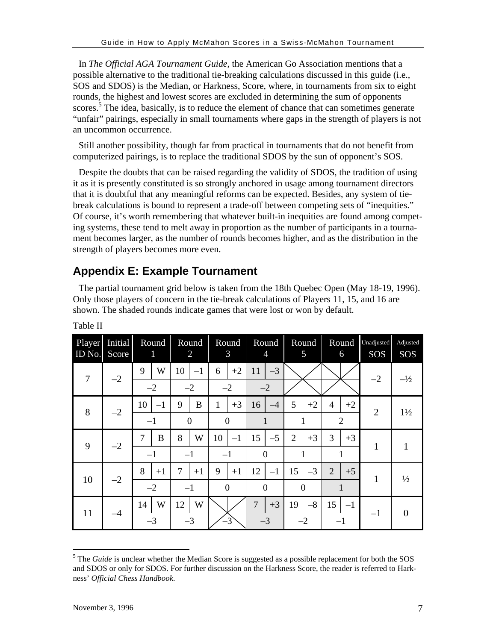In *The Official AGA Tournament Guide*, the American Go Association mentions that a possible alternative to the traditional tie-breaking calculations discussed in this guide (i.e., SOS and SDOS) is the Median, or Harkness, Score, where, in tournaments from six to eight rounds, the highest and lowest scores are excluded in determining the sum of opponents scores.<sup>5</sup> The idea, basically, is to reduce the element of chance that can sometimes generate "unfair" pairings, especially in small tournaments where gaps in the strength of players is not an uncommon occurrence.

Still another possibility, though far from practical in tournaments that do not benefit from computerized pairings, is to replace the traditional SDOS by the sun of opponent's SOS.

Despite the doubts that can be raised regarding the validity of SDOS, the tradition of using it as it is presently constituted is so strongly anchored in usage among tournament directors that it is doubtful that any meaningful reforms can be expected. Besides, any system of tiebreak calculations is bound to represent a trade-off between competing sets of "inequities." Of course, it's worth remembering that whatever built-in inequities are found among competing systems, these tend to melt away in proportion as the number of participants in a tournament becomes larger, as the number of rounds becomes higher, and as the distribution in the strength of players becomes more even.

# **Appendix E: Example Tournament**

The partial tournament grid below is taken from the 18th Quebec Open (May 18-19, 1996). Only those players of concern in the tie-break calculations of Players 11, 15, and 16 are shown. The shaded rounds indicate games that were lost or won by default.

| Player<br>ID No. | Initial<br>Score | Round<br>1 | Round<br>$\overline{2}$ | Round<br>3     | Round<br>$\overline{4}$ | Round<br>5             | Round<br>6             | Unadjusted<br>SOS | Adjusted<br>SOS |
|------------------|------------------|------------|-------------------------|----------------|-------------------------|------------------------|------------------------|-------------------|-----------------|
| $\overline{7}$   | $-2$             | 9<br>W     | 10<br>$-1$              | $+2$<br>6      | $-3$<br>11              |                        |                        | $-2$              | $-\frac{1}{2}$  |
|                  |                  | $-2$       | $-2$                    | $-2$           | $-2$                    |                        |                        |                   |                 |
| 8                | $-2$             | 10<br>$-1$ | B<br>9                  | $+3$<br>1      | 16<br>$-4$              | 5<br>$+2$              | $+2$<br>4              | $\overline{2}$    | $1\frac{1}{2}$  |
|                  |                  | $-1$       | $\theta$                | $\overline{0}$ | 1                       | 1                      | $\overline{2}$         |                   |                 |
| 9<br>$-2$        |                  | 7<br>B     | W<br>8                  | 10<br>$-1$     | 15<br>$-5$              | $\overline{2}$<br>$+3$ | 3<br>$+3$              |                   |                 |
|                  |                  | $-1$       | $-1$                    | $-1$           | $\overline{0}$          | 1                      | 1                      | 1                 |                 |
|                  |                  | 8<br>$+1$  | 7<br>$+1$               | 9<br>$+1$      | 12<br>$-1$              | $-3$<br>15             | $\overline{2}$<br>$+5$ | $\mathbf{1}$      | $\frac{1}{2}$   |
| 10<br>$-2$       |                  | $-2$       | $-1$                    | $\overline{0}$ | $\theta$                | $\Omega$               |                        |                   |                 |
| 11<br>$-4$       |                  | W<br>14    | 12<br>W                 |                | $+3$<br>7               | $-8$<br>19             | 15<br>$-1$             |                   |                 |
|                  |                  | $-3$       | $-3$                    | $-3$           | $-3$                    | $-2$                   | $-1$                   | $-1$              | $\Omega$        |

Table II

<sup>&</sup>lt;sup>5</sup> The *Guide* is unclear whether the Median Score is suggested as a possible replacement for both the SOS and SDOS or only for SDOS. For further discussion on the Harkness Score, the reader is referred to Harkness' *Official Chess Handbook.*